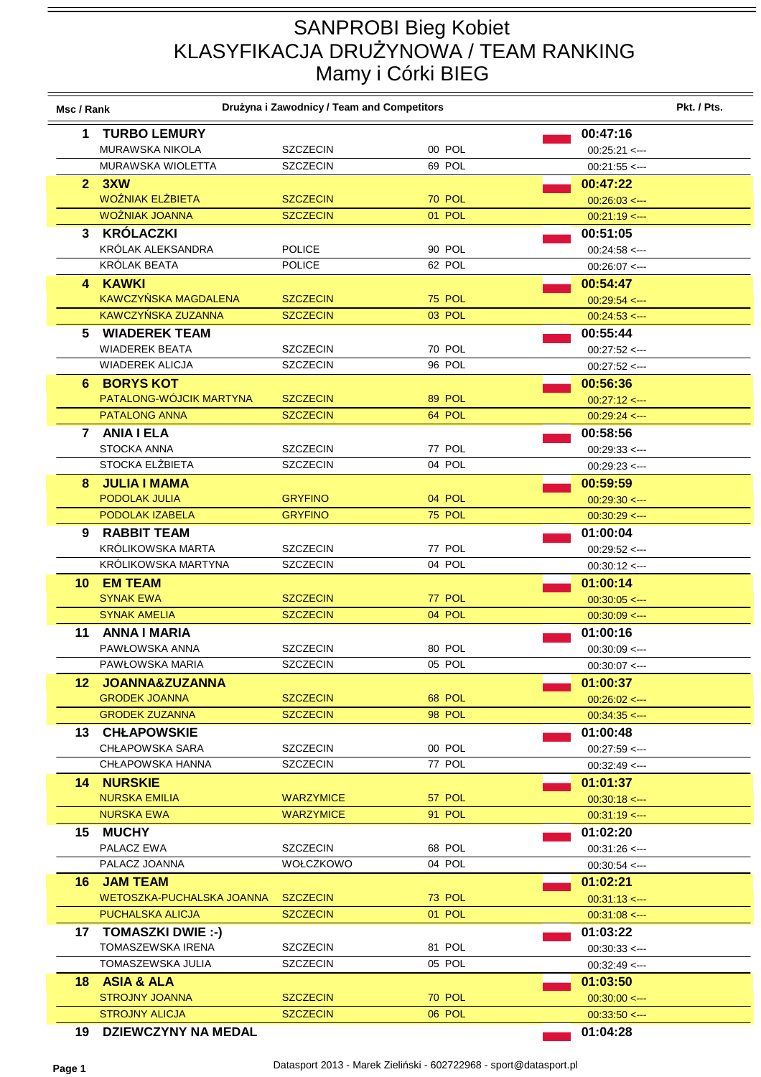## SANPROBI Bieg Kobiet KLASYFIKACJA DRUŻYNOWA / TEAM RANKING Mamy i Córki BIEG

| Msc / Rank |                                         | Drużyna i Zawodnicy / Team and Competitors |                  |                                       | Pkt. / Pts. |
|------------|-----------------------------------------|--------------------------------------------|------------------|---------------------------------------|-------------|
| 1          | <b>TURBO LEMURY</b>                     |                                            |                  | 00:47:16                              |             |
|            | MURAWSKA NIKOLA                         | <b>SZCZECIN</b>                            | 00 POL           | $00:25:21$ <--                        |             |
|            | MURAWSKA WIOLETTA                       | <b>SZCZECIN</b>                            | 69 POL           | $00:21:55$ <---                       |             |
|            | 2.3XW                                   |                                            |                  | 00:47:22                              |             |
|            | <b>WOŹNIAK ELŻBIETA</b>                 | <b>SZCZECIN</b>                            | <b>70 POL</b>    | $00:26:03 \leq$                       |             |
|            | WOŹNIAK JOANNA                          | <b>SZCZECIN</b>                            | 01 POL           | $00:21:19$ <--                        |             |
|            | 3 KRÓLACZKI                             |                                            |                  | 00:51:05                              |             |
|            | KRÓLAK ALEKSANDRA                       | <b>POLICE</b>                              | 90 POL           | $00:24:58 \leftarrow$                 |             |
|            | KRÓLAK BEATA                            | <b>POLICE</b>                              | 62 POL           | $00:26:07$ <---                       |             |
|            | 4 KAWKI                                 |                                            |                  | 00:54:47                              |             |
|            | KAWCZYŃSKA MAGDALENA                    | <b>SZCZECIN</b>                            | <b>75 POL</b>    | $00:29:54 \leftarrow$                 |             |
|            | KAWCZYŃSKA ZUZANNA                      | <b>SZCZECIN</b>                            | 03 POL           | $00:24:53 \leftarrow$                 |             |
| 5.         | <b>WIADEREK TEAM</b>                    |                                            |                  | 00:55:44                              |             |
|            | <b>WIADEREK BEATA</b>                   | <b>SZCZECIN</b>                            | 70 POL           | $00:27:52 \leftarrow$                 |             |
|            | <b>WIADEREK ALICJA</b>                  | <b>SZCZECIN</b>                            | 96 POL           | $00:27:52 \leq -1$                    |             |
|            | 6 BORYS KOT                             |                                            |                  | 00:56:36                              |             |
|            | PATALONG-WÓJCIK MARTYNA                 | <b>SZCZECIN</b>                            | 89 POL           | $00:27:12 \leq -1$                    |             |
|            | <b>PATALONG ANNA</b>                    | <b>SZCZECIN</b>                            | 64 POL           | $00:29:24 \leq -1$                    |             |
|            | 7 ANIA I ELA                            |                                            |                  | 00:58:56                              |             |
|            | <b>STOCKA ANNA</b>                      | <b>SZCZECIN</b>                            | 77 POL           | $00:29:33 \leftarrow$                 |             |
|            | STOCKA ELŻBIETA                         | <b>SZCZECIN</b>                            | 04 POL           | $00:29:23 \leftarrow$                 |             |
| 8          | <b>JULIA I MAMA</b>                     |                                            |                  | 00:59:59                              |             |
|            | PODOLAK JULIA                           | <b>GRYFINO</b>                             | 04 POL           | $00:29:30 \leftarrow$                 |             |
|            | PODOLAK IZABELA                         | <b>GRYFINO</b>                             | <b>75 POL</b>    | $00:30:29$ <--                        |             |
| 9          | <b>RABBIT TEAM</b>                      |                                            |                  | 01:00:04                              |             |
|            | KRÓLIKOWSKA MARTA                       | <b>SZCZECIN</b>                            | 77 POL           | $00:29:52 \leq -1$                    |             |
|            | KRÓLIKOWSKA MARTYNA                     | <b>SZCZECIN</b>                            | 04 POL           | $00:30:12 \leq -1$                    |             |
| 10         | <b>EM TEAM</b>                          |                                            |                  | 01:00:14                              |             |
|            | <b>SYNAK EWA</b><br><b>SYNAK AMELIA</b> | <b>SZCZECIN</b><br><b>SZCZECIN</b>         | 77 POL<br>04 POL | $00:30:05$ <---                       |             |
|            |                                         |                                            |                  | $00:30:09$ <---                       |             |
| 11         | <b>ANNA I MARIA</b><br>PAWŁOWSKA ANNA   | <b>SZCZECIN</b>                            | 80 POL           | 01:00:16                              |             |
|            | PAWŁOWSKA MARIA                         | SZCZECIN                                   | 05 POL           | $00:30:09 \leq -1$<br>$00:30:07$ <--- |             |
|            | 12 JOANNA&ZUZANNA                       |                                            |                  | 01:00:37                              |             |
|            | <b>GRODEK JOANNA</b>                    | <b>SZCZECIN</b>                            | 68 POL           | $00:26:02 \leq -1$                    |             |
|            | <b>GRODEK ZUZANNA</b>                   | <b>SZCZECIN</b>                            | 98 POL           | $00:34:35 \leftarrow$                 |             |
|            | <b>13 CHŁAPOWSKIE</b>                   |                                            |                  | 01:00:48                              |             |
|            | <b>CHŁAPOWSKA SARA</b>                  | <b>SZCZECIN</b>                            | 00 POL           | $00:27:59 \leftarrow$                 |             |
|            | <b>CHŁAPOWSKA HANNA</b>                 | <b>SZCZECIN</b>                            | 77 POL           | $00:32:49 \leftarrow$                 |             |
|            | <b>14 NURSKIE</b>                       |                                            |                  | 01:01:37                              |             |
|            | <b>NURSKA EMILIA</b>                    | <b>WARZYMICE</b>                           | 57 POL           | $00:30:18 \leftarrow$                 |             |
|            | <b>NURSKA EWA</b>                       | <b>WARZYMICE</b>                           | 91 POL           | $00:31:19 \le -$                      |             |
| 15.        | <b>MUCHY</b>                            |                                            |                  | 01:02:20                              |             |
|            | PALACZ EWA                              | <b>SZCZECIN</b>                            | 68 POL           | $00:31:26 \leq -1$                    |             |
|            | PALACZ JOANNA                           | WOŁCZKOWO                                  | 04 POL           | $00:30:54 \leq -1$                    |             |
| 16.        | <b>JAM TEAM</b>                         |                                            |                  | 01:02:21                              |             |
|            | WETOSZKA-PUCHALSKA JOANNA               | <b>SZCZECIN</b>                            | 73 POL           | $00.31:13 \leftarrow$                 |             |
|            | PUCHALSKA ALICJA                        | <b>SZCZECIN</b>                            | 01 POL           | $00:31:08 \leq -1$                    |             |
| 17         | TOMASZKI DWIE :-)                       |                                            |                  | 01:03:22                              |             |
|            | TOMASZEWSKA IRENA                       | <b>SZCZECIN</b>                            | 81 POL           | $00:30:33 \leq -1$                    |             |
|            | TOMASZEWSKA JULIA                       | <b>SZCZECIN</b>                            | 05 POL           | $00:32:49 \leftarrow$                 |             |
| 18.        | <b>ASIA &amp; ALA</b>                   |                                            |                  | 01:03:50                              |             |
|            | <b>STROJNY JOANNA</b>                   | <b>SZCZECIN</b>                            | <b>70 POL</b>    | $00:30:00 \leq -1$                    |             |
|            | <b>STROJNY ALICJA</b>                   | <b>SZCZECIN</b>                            | 06 POL           | $00:33:50 \leftarrow$                 |             |
| 19         | <b>DZIEWCZYNY NA MEDAL</b>              |                                            |                  | 01:04:28                              |             |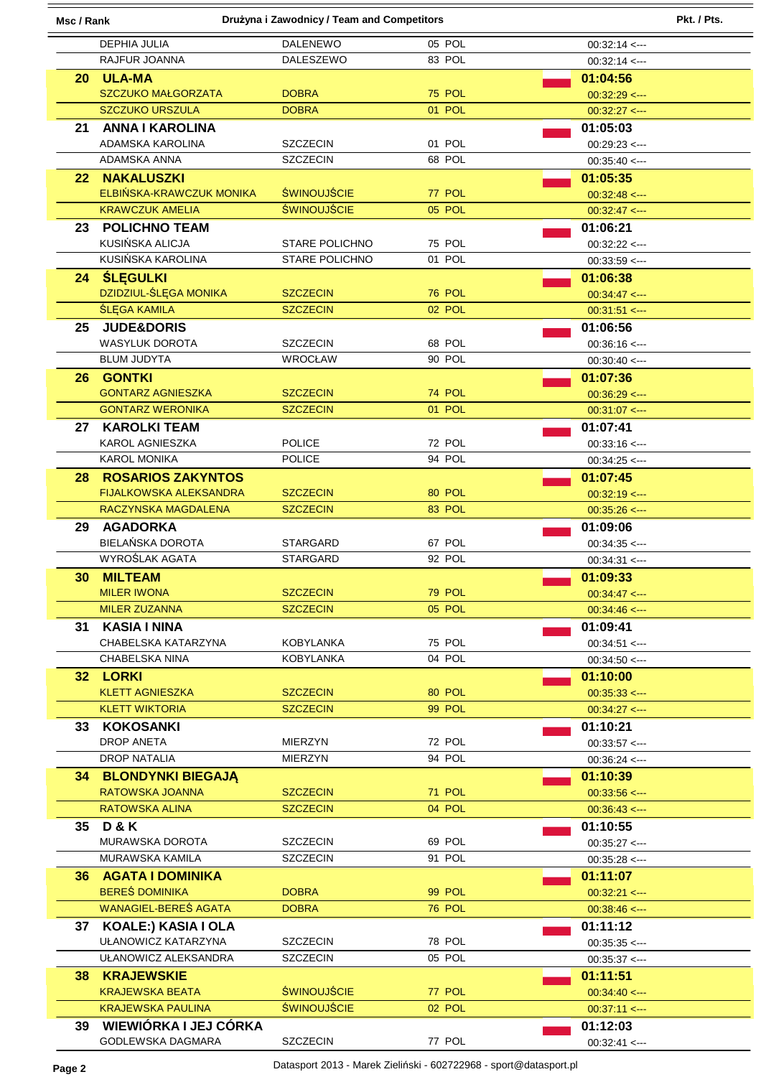| Drużyna i Zawodnicy / Team and Competitors<br>Msc / Rank |                                            |                                    | Pkt. / Pts.      |                                                |
|----------------------------------------------------------|--------------------------------------------|------------------------------------|------------------|------------------------------------------------|
|                                                          | DEPHIA JULIA                               | <b>DALENEWO</b>                    | 05 POL           | $00:32:14$ <--                                 |
|                                                          | RAJFUR JOANNA                              | <b>DALESZEWO</b>                   | 83 POL           | $00:32:14 \leq$                                |
|                                                          | 20 ULA-MA                                  |                                    |                  | 01:04:56                                       |
|                                                          | <b>SZCZUKO MAŁGORZATA</b>                  | <b>DOBRA</b>                       | <b>75 POL</b>    | $00:32:29$ <--                                 |
|                                                          | <b>SZCZUKO URSZULA</b>                     | <b>DOBRA</b>                       | 01 POL           | $00:32:27$ <--                                 |
| 21                                                       | <b>ANNA I KAROLINA</b>                     |                                    |                  | 01:05:03                                       |
|                                                          | ADAMSKA KAROLINA                           | <b>SZCZECIN</b>                    | 01 POL           | $00:29:23 \leftarrow$                          |
|                                                          | ADAMSKA ANNA                               | <b>SZCZECIN</b>                    | 68 POL           | $00:35:40 < -$                                 |
| 22.                                                      | <b>NAKALUSZKI</b>                          |                                    |                  | 01:05:35                                       |
|                                                          | ELBIŃSKA-KRAWCZUK MONIKA                   | <b>ŚWINOUJŚCIE</b>                 | 77 POL           | $00:32:48 \leftarrow$                          |
|                                                          | <b>KRAWCZUK AMELIA</b>                     | <b>ŚWINOUJŚCIE</b>                 | 05 POL           | $00:32:47$ <---                                |
|                                                          | 23 POLICHNO TEAM                           |                                    |                  | 01:06:21                                       |
|                                                          | KUSIŃSKA ALICJA                            | STARE POLICHNO                     | 75 POL           | $00:32:22 \leq -1$                             |
|                                                          | KUSIŃSKA KAROLINA                          | <b>STARE POLICHNO</b>              | 01 POL           | $00:33:59 \leq -$                              |
| 24                                                       | <b>ŚLĘGULKI</b>                            |                                    |                  | 01:06:38                                       |
|                                                          | DZIDZIUL-ŚLĘGA MONIKA                      | <b>SZCZECIN</b>                    | <b>76 POL</b>    | $00.34.47 < -$                                 |
|                                                          | <b>ŚLĘGA KAMILA</b>                        | <b>SZCZECIN</b>                    | 02 POL           | $00:31:51 \leftarrow$                          |
| 25                                                       | <b>JUDE&amp;DORIS</b>                      |                                    |                  | 01:06:56                                       |
|                                                          | <b>WASYLUK DOROTA</b>                      | <b>SZCZECIN</b>                    | 68 POL           | $00:36:16 \leq$                                |
|                                                          | <b>BLUM JUDYTA</b>                         | <b>WROCŁAW</b>                     | 90 POL           | $00:30:40 < -$                                 |
| 26.                                                      | <b>GONTKI</b>                              |                                    |                  | 01:07:36                                       |
|                                                          | <b>GONTARZ AGNIESZKA</b>                   | <b>SZCZECIN</b>                    | 74 POL           | $00:36:29$ <--                                 |
|                                                          | <b>GONTARZ WERONIKA</b>                    | <b>SZCZECIN</b>                    | 01 POL           | $00:31:07$ <--                                 |
| 27                                                       | <b>KAROLKI TEAM</b>                        |                                    |                  | 01:07:41                                       |
|                                                          | KAROL AGNIESZKA                            | <b>POLICE</b>                      | 72 POL           | $00:33:16 \leftarrow -$                        |
|                                                          | <b>KAROL MONIKA</b>                        | <b>POLICE</b>                      | 94 POL           | $00:34:25 < -$                                 |
| 28.                                                      | <b>ROSARIOS ZAKYNTOS</b>                   |                                    |                  | 01:07:45                                       |
|                                                          | <b>FIJALKOWSKA ALEKSANDRA</b>              | <b>SZCZECIN</b>                    | 80 POL           | $00:32:19 \leftarrow$                          |
|                                                          | RACZYNSKA MAGDALENA                        | <b>SZCZECIN</b>                    | 83 POL           | $00:35:26 \leftarrow$                          |
| 29                                                       | <b>AGADORKA</b>                            |                                    |                  | 01:09:06                                       |
|                                                          | BIELAŃSKA DOROTA                           | <b>STARGARD</b>                    | 67 POL           | $00:34:35 < -$                                 |
|                                                          | WYROŚLAK AGATA                             | <b>STARGARD</b>                    | 92 POL           | $00:34:31 \leftarrow$                          |
| 30                                                       | <b>MILTEAM</b>                             |                                    |                  | 01:09:33                                       |
|                                                          | <b>MILER IWONA</b><br><b>MILER ZUZANNA</b> | <b>SZCZECIN</b><br><b>SZCZECIN</b> | 79 POL<br>05 POL | $00.34.47 < -$                                 |
|                                                          |                                            |                                    |                  | $00:34:46 \leq$                                |
|                                                          | 31 KASIA I NINA<br>CHABELSKA KATARZYNA     | KOBYLANKA                          | 75 POL           | 01:09:41                                       |
|                                                          | CHABELSKA NINA                             | <b>KOBYLANKA</b>                   | 04 POL           | $00:34:51 \leftarrow$<br>$00:34:50 \leftarrow$ |
|                                                          | 32 LORKI                                   |                                    |                  | 01:10:00                                       |
|                                                          | <b>KLETT AGNIESZKA</b>                     | <b>SZCZECIN</b>                    | 80 POL           | $00:35:33 \leftarrow$                          |
|                                                          | <b>KLETT WIKTORIA</b>                      | <b>SZCZECIN</b>                    | 99 POL           | $00:34:27$ <---                                |
|                                                          | 33 KOKOSANKI                               |                                    |                  | 01:10:21                                       |
|                                                          | <b>DROP ANETA</b>                          | <b>MIERZYN</b>                     | 72 POL           | $00:33:57$ <--                                 |
|                                                          | <b>DROP NATALIA</b>                        | MIERZYN                            | 94 POL           | $00:36:24 \leq -$                              |
|                                                          | <b>34 BLONDYNKI BIEGAJĄ</b>                |                                    |                  | 01:10:39                                       |
|                                                          | RATOWSKA JOANNA                            | <b>SZCZECIN</b>                    | 71 POL           | $00:33:56 \leftarrow$                          |
|                                                          | <b>RATOWSKA ALINA</b>                      | <b>SZCZECIN</b>                    | 04 POL           | $00:36:43 \leftarrow$                          |
|                                                          | 35 D & K                                   |                                    |                  | 01:10:55                                       |
|                                                          | MURAWSKA DOROTA                            | <b>SZCZECIN</b>                    | 69 POL           | $00:35:27$ <---                                |
|                                                          | MURAWSKA KAMILA                            | <b>SZCZECIN</b>                    | 91 POL           | $00:35:28 \leftarrow$                          |
|                                                          | 36 AGATA I DOMINIKA                        |                                    |                  | 01:11:07                                       |
|                                                          | <b>BERES DOMINIKA</b>                      | <b>DOBRA</b>                       | 99 POL           | $00:32:21 \leq -1$                             |
|                                                          | WANAGIEL-BEREŚ AGATA                       | <b>DOBRA</b>                       | <b>76 POL</b>    | $00:38:46 \leftarrow$                          |
|                                                          | 37 KOALE:) KASIA I OLA                     |                                    |                  | 01:11:12                                       |
|                                                          | UŁANOWICZ KATARZYNA                        | <b>SZCZECIN</b>                    | 78 POL           | $00:35:35 < -$                                 |
|                                                          | UŁANOWICZ ALEKSANDRA                       | <b>SZCZECIN</b>                    | 05 POL           | $00:35:37 \leftarrow$                          |
|                                                          | <b>38 KRAJEWSKIE</b>                       |                                    |                  | 01:11:51                                       |
|                                                          | <b>KRAJEWSKA BEATA</b>                     | <b>ŚWINOUJŚCIE</b>                 | 77 POL           | $00:34:40 \leq -1$                             |
|                                                          | <b>KRAJEWSKA PAULINA</b>                   | <b>ŚWINOUJŚCIE</b>                 | 02 POL           | $00:37:11 \leftarrow$                          |
| 39                                                       | WIEWIÓRKA I JEJ CÓRKA                      |                                    |                  | 01:12:03                                       |
|                                                          | GODLEWSKA DAGMARA                          | <b>SZCZECIN</b>                    | 77 POL           | $00:32:41 \leftarrow -$                        |

**Page 2** Datasport 2013 - Marek Zieliński - 602722968 - sport@datasport.pl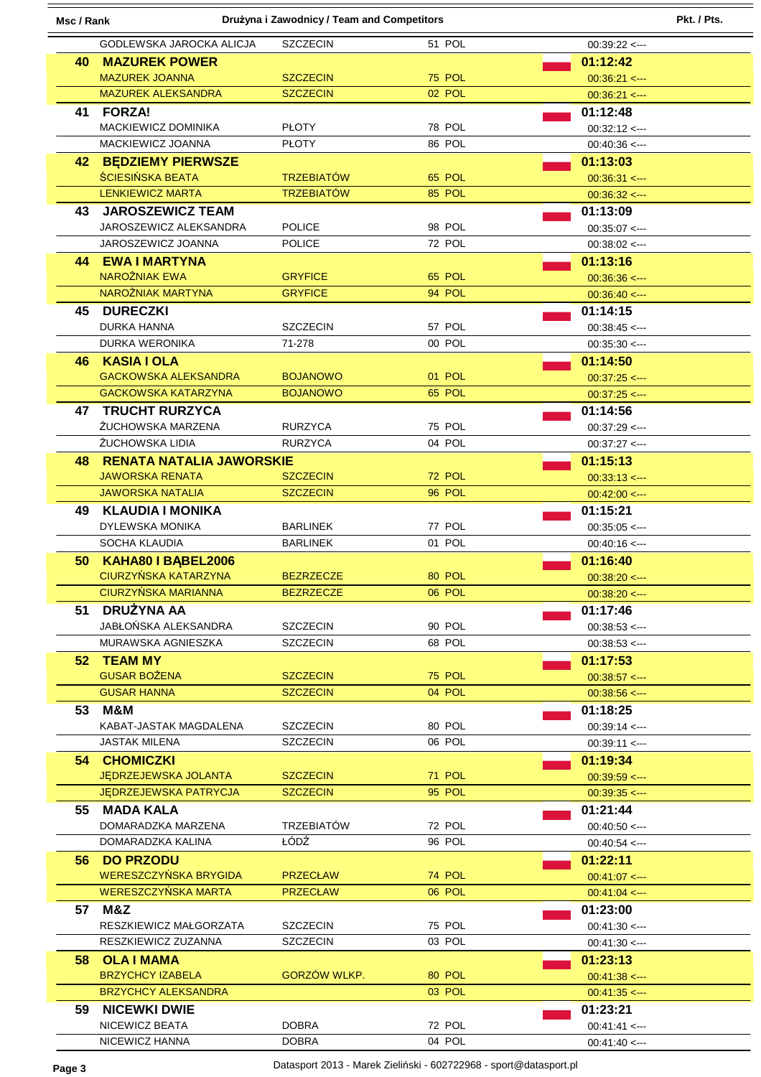| Drużyna i Zawodnicy / Team and Competitors<br>Pkt. / Pts.<br>Msc / Rank |                                    |                   |               |                                          |
|-------------------------------------------------------------------------|------------------------------------|-------------------|---------------|------------------------------------------|
|                                                                         | GODLEWSKA JAROCKA ALICJA           | <b>SZCZECIN</b>   | 51 POL        | $00:39:22 \leq -$                        |
|                                                                         | <b>40 MAZUREK POWER</b>            |                   |               | 01:12:42                                 |
|                                                                         | <b>MAZUREK JOANNA</b>              | <b>SZCZECIN</b>   | <b>75 POL</b> | $00:36:21 \leftarrow$                    |
|                                                                         | <b>MAZUREK ALEKSANDRA</b>          | <b>SZCZECIN</b>   | 02 POL        | $00:36:21$ <--                           |
| 41                                                                      | <b>FORZA!</b>                      |                   |               | 01:12:48                                 |
|                                                                         | <b>MACKIEWICZ DOMINIKA</b>         | <b>PLOTY</b>      | 78 POL        | $00:32:12 \leq -$                        |
|                                                                         | MACKIEWICZ JOANNA                  | <b>PŁOTY</b>      | 86 POL        | $00:40:36 \leftarrow$                    |
| 42.                                                                     | <b>BEDZIEMY PIERWSZE</b>           |                   |               | 01:13:03                                 |
|                                                                         | <b>ŚCIESIŃSKA BEATA</b>            | <b>TRZEBIATÓW</b> | 65 POL        | $00:36:31 \leftarrow$                    |
|                                                                         | <b>LENKIEWICZ MARTA</b>            | <b>TRZEBIATÓW</b> | 85 POL        | $00:36:32 \leftarrow -$                  |
| 43.                                                                     | <b>JAROSZEWICZ TEAM</b>            |                   |               | 01:13:09                                 |
|                                                                         | JAROSZEWICZ ALEKSANDRA             | <b>POLICE</b>     | 98 POL        | $00:35:07$ <--                           |
|                                                                         | JAROSZEWICZ JOANNA                 | <b>POLICE</b>     | 72 POL        | $00:38:02 \leq -1$                       |
|                                                                         | <b>44 EWAIMARTYNA</b>              |                   |               | 01:13:16                                 |
|                                                                         | <b>NAROŻNIAK EWA</b>               | <b>GRYFICE</b>    | 65 POL        | $00:36:36 \leftarrow$                    |
|                                                                         | NAROŻNIAK MARTYNA                  | <b>GRYFICE</b>    | 94 POL        | $00:36:40 \leq -1$                       |
| 45.                                                                     | <b>DURECZKI</b>                    |                   |               | 01:14:15                                 |
|                                                                         | DURKA HANNA                        | <b>SZCZECIN</b>   | 57 POL        | $00:38:45$ <--                           |
|                                                                         | <b>DURKA WERONIKA</b>              | 71-278            | 00 POL        | $00:35:30 \leq$                          |
| 46.                                                                     | <b>KASIA I OLA</b>                 |                   |               | 01:14:50                                 |
|                                                                         | <b>GACKOWSKA ALEKSANDRA</b>        | <b>BOJANOWO</b>   | 01 POL        | $00:37:25$ <--                           |
|                                                                         | <b>GACKOWSKA KATARZYNA</b>         | <b>BOJANOWO</b>   | 65 POL        | $00:37:25$ <--                           |
|                                                                         | <b>47 TRUCHT RURZYCA</b>           |                   |               | 01:14:56                                 |
|                                                                         | ŻUCHOWSKA MARZENA                  | <b>RURZYCA</b>    | 75 POL        | $00:37:29$ <--                           |
|                                                                         | ŻUCHOWSKA LIDIA                    | <b>RURZYCA</b>    | 04 POL        | $00:37:27$ <---                          |
| 48                                                                      | <b>RENATA NATALIA JAWORSKIE</b>    |                   |               | 01:15:13                                 |
|                                                                         | <b>JAWORSKA RENATA</b>             | <b>SZCZECIN</b>   | 72 POL        | $00:33:13$ <---                          |
|                                                                         | <b>JAWORSKA NATALIA</b>            | <b>SZCZECIN</b>   | 96 POL        | $00:42:00 \leq$                          |
| 49.                                                                     | <b>KLAUDIA I MONIKA</b>            |                   |               | 01:15:21                                 |
|                                                                         | DYLEWSKA MONIKA                    | <b>BARLINEK</b>   | 77 POL        | $00:35:05$ <--                           |
|                                                                         | SOCHA KLAUDIA                      | <b>BARLINEK</b>   | 01 POL        | $00:40:16 \leq -1$                       |
| 50                                                                      | KAHA80 I BABEL2006                 |                   |               | 01:16:40                                 |
|                                                                         | <b>CIURZYŃSKA KATARZYNA</b>        | <b>BEZRZECZE</b>  | 80 POL        | $00:38:20 \leq -1$                       |
|                                                                         | CIURZYŃSKA MARIANNA                | <b>BEZRZECZE</b>  | 06 POL        | $00:38:20 \leftarrow$                    |
| 51                                                                      | DRUŻYNA AA<br>JABŁOŃSKA ALEKSANDRA | <b>SZCZECIN</b>   | 90 POL        | 01:17:46                                 |
|                                                                         | MURAWSKA AGNIESZKA                 | <b>SZCZECIN</b>   | 68 POL        | $00:38:53 \leftarrow$<br>$00:38:53 \leq$ |
|                                                                         | 52 TEAM MY                         |                   |               | 01:17:53                                 |
|                                                                         | <b>GUSAR BOŻENA</b>                | <b>SZCZECIN</b>   | <b>75 POL</b> | $00:38:57$ <--                           |
|                                                                         | <b>GUSAR HANNA</b>                 | <b>SZCZECIN</b>   | 04 POL        | $00:38:56 \leftarrow$                    |
|                                                                         | 53 M&M                             |                   |               | 01:18:25                                 |
|                                                                         | KABAT-JASTAK MAGDALENA             | <b>SZCZECIN</b>   | 80 POL        | $00:39:14 \leftarrow$                    |
|                                                                         | JASTAK MILENA                      | <b>SZCZECIN</b>   | 06 POL        | $00:39:11 \leq -1$                       |
|                                                                         | <b>54 CHOMICZKI</b>                |                   |               | 01:19:34                                 |
|                                                                         | <b>JEDRZEJEWSKA JOLANTA</b>        | <b>SZCZECIN</b>   | 71 POL        | $00:39:59 \leq -1$                       |
|                                                                         | <b>JEDRZEJEWSKA PATRYCJA</b>       | <b>SZCZECIN</b>   | 95 POL        | $00:39:35 \leq -1$                       |
| 55                                                                      | MADA KALA                          |                   |               | 01:21:44                                 |
|                                                                         | DOMARADZKA MARZENA                 | <b>TRZEBIATÓW</b> | 72 POL        | $00:40:50 < -$                           |
|                                                                         | DOMARADZKA KALINA                  | ŁÓDŹ              | 96 POL        | $00:40:54 \leq$                          |
|                                                                         | 56 DO PRZODU                       |                   |               | 01:22:11                                 |
|                                                                         | WERESZCZYŃSKA BRYGIDA              | <b>PRZECŁAW</b>   | 74 POL        | $00:41:07$ < $-$                         |
|                                                                         | WERESZCZYŃSKA MARTA                | <b>PRZECŁAW</b>   | 06 POL        | $00:41:04 \leq -1$                       |
|                                                                         | 57 M&Z                             |                   |               | 01:23:00                                 |
|                                                                         | RESZKIEWICZ MAŁGORZATA             | <b>SZCZECIN</b>   | 75 POL        | $00:41:30 \leq$                          |
|                                                                         | RESZKIEWICZ ZUZANNA                | <b>SZCZECIN</b>   | 03 POL        | $00:41:30 \leq -1$                       |
| 58.                                                                     | <b>OLA I MAMA</b>                  |                   |               | 01:23:13                                 |
|                                                                         | <b>BRZYCHCY IZABELA</b>            | GORZÓW WLKP.      | 80 POL        | $00:41:38 \leq$                          |
|                                                                         | <b>BRZYCHCY ALEKSANDRA</b>         |                   | 03 POL        | $00:41:35 \leq$                          |
| 59.                                                                     | <b>NICEWKI DWIE</b>                |                   |               | 01:23:21                                 |
|                                                                         | NICEWICZ BEATA                     | <b>DOBRA</b>      | 72 POL        | $00:41:41 \leftarrow -$                  |
|                                                                         | NICEWICZ HANNA                     | <b>DOBRA</b>      | 04 POL        | $00:41:40 \leq$                          |

**Page 3** Datasport 2013 - Marek Zieliński - 602722968 - sport@datasport.pl